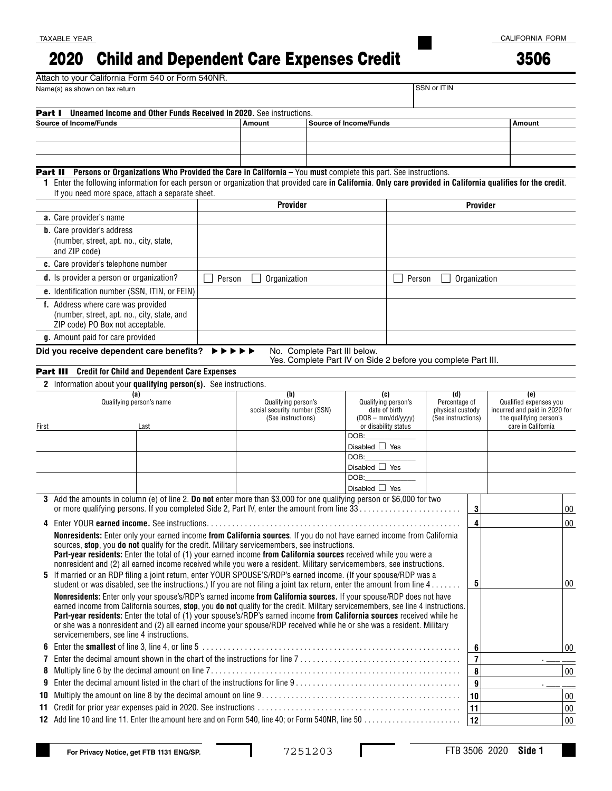## Child and Dependent Care Expenses Credit 2020

Attach to your California Form 540 or Form 540NR.

TAXABLE YEAR

3506

|                                   | Name(s) as shown on tax return                                                                                                                                                                                                           |                                                                                                                      |                                                                                                                                                                                                                                                              |                                            |                                   | SSN or ITIN                                        |                                                               |                                                                                |  |                               |        |
|-----------------------------------|------------------------------------------------------------------------------------------------------------------------------------------------------------------------------------------------------------------------------------------|----------------------------------------------------------------------------------------------------------------------|--------------------------------------------------------------------------------------------------------------------------------------------------------------------------------------------------------------------------------------------------------------|--------------------------------------------|-----------------------------------|----------------------------------------------------|---------------------------------------------------------------|--------------------------------------------------------------------------------|--|-------------------------------|--------|
| Part I                            | Unearned Income and Other Funds Received in 2020. See instructions.                                                                                                                                                                      |                                                                                                                      |                                                                                                                                                                                                                                                              |                                            |                                   |                                                    |                                                               |                                                                                |  |                               |        |
| <b>Source of Income/Funds</b>     |                                                                                                                                                                                                                                          |                                                                                                                      | Amount                                                                                                                                                                                                                                                       | <b>Source of Income/Funds</b>              |                                   |                                                    |                                                               |                                                                                |  | Amount                        |        |
|                                   |                                                                                                                                                                                                                                          |                                                                                                                      |                                                                                                                                                                                                                                                              |                                            |                                   |                                                    |                                                               |                                                                                |  |                               |        |
|                                   |                                                                                                                                                                                                                                          |                                                                                                                      |                                                                                                                                                                                                                                                              |                                            |                                   |                                                    |                                                               |                                                                                |  |                               |        |
|                                   |                                                                                                                                                                                                                                          |                                                                                                                      |                                                                                                                                                                                                                                                              |                                            |                                   |                                                    |                                                               |                                                                                |  |                               |        |
|                                   | Persons or Organizations Who Provided the Care in California - You must complete this part. See instructions.<br>Part II                                                                                                                 |                                                                                                                      |                                                                                                                                                                                                                                                              |                                            |                                   |                                                    |                                                               |                                                                                |  |                               |        |
|                                   | 1 Enter the following information for each person or organization that provided care in California. Only care provided in California qualifies for the credit.                                                                           |                                                                                                                      |                                                                                                                                                                                                                                                              |                                            |                                   |                                                    |                                                               |                                                                                |  |                               |        |
|                                   | If you need more space, attach a separate sheet.                                                                                                                                                                                         |                                                                                                                      |                                                                                                                                                                                                                                                              |                                            |                                   |                                                    |                                                               |                                                                                |  |                               |        |
|                                   |                                                                                                                                                                                                                                          |                                                                                                                      | Provider                                                                                                                                                                                                                                                     |                                            |                                   | <b>Provider</b>                                    |                                                               |                                                                                |  |                               |        |
| a. Care provider's name           |                                                                                                                                                                                                                                          |                                                                                                                      |                                                                                                                                                                                                                                                              |                                            |                                   |                                                    |                                                               |                                                                                |  |                               |        |
| <b>b.</b> Care provider's address |                                                                                                                                                                                                                                          |                                                                                                                      |                                                                                                                                                                                                                                                              |                                            |                                   |                                                    |                                                               |                                                                                |  |                               |        |
|                                   | (number, street, apt. no., city, state,<br>and ZIP code)                                                                                                                                                                                 |                                                                                                                      |                                                                                                                                                                                                                                                              |                                            |                                   |                                                    |                                                               |                                                                                |  |                               |        |
|                                   | c. Care provider's telephone number                                                                                                                                                                                                      |                                                                                                                      |                                                                                                                                                                                                                                                              |                                            |                                   |                                                    |                                                               |                                                                                |  |                               |        |
|                                   | d. Is provider a person or organization?                                                                                                                                                                                                 |                                                                                                                      |                                                                                                                                                                                                                                                              |                                            |                                   |                                                    |                                                               |                                                                                |  |                               |        |
|                                   |                                                                                                                                                                                                                                          | Person<br>Organization                                                                                               |                                                                                                                                                                                                                                                              |                                            | Person<br>Organization            |                                                    |                                                               |                                                                                |  |                               |        |
|                                   | e. Identification number (SSN, ITIN, or FEIN)                                                                                                                                                                                            |                                                                                                                      |                                                                                                                                                                                                                                                              |                                            |                                   |                                                    |                                                               |                                                                                |  |                               |        |
|                                   | f. Address where care was provided<br>(number, street, apt. no., city, state, and                                                                                                                                                        |                                                                                                                      |                                                                                                                                                                                                                                                              |                                            |                                   |                                                    |                                                               |                                                                                |  |                               |        |
|                                   | ZIP code) PO Box not acceptable.                                                                                                                                                                                                         |                                                                                                                      |                                                                                                                                                                                                                                                              |                                            |                                   |                                                    |                                                               |                                                                                |  |                               |        |
|                                   | g. Amount paid for care provided                                                                                                                                                                                                         |                                                                                                                      |                                                                                                                                                                                                                                                              |                                            |                                   |                                                    |                                                               |                                                                                |  |                               |        |
|                                   | Did you receive dependent care benefits? $\triangleright \triangleright \triangleright \triangleright \triangleright$                                                                                                                    |                                                                                                                      |                                                                                                                                                                                                                                                              | No. Complete Part III below.               |                                   |                                                    |                                                               |                                                                                |  |                               |        |
|                                   |                                                                                                                                                                                                                                          |                                                                                                                      |                                                                                                                                                                                                                                                              |                                            |                                   |                                                    | Yes. Complete Part IV on Side 2 before you complete Part III. |                                                                                |  |                               |        |
|                                   | <b>Credit for Child and Dependent Care Expenses</b><br>Part III                                                                                                                                                                          |                                                                                                                      |                                                                                                                                                                                                                                                              |                                            |                                   |                                                    |                                                               |                                                                                |  |                               |        |
|                                   | 2 Information about your qualifying person(s). See instructions.                                                                                                                                                                         |                                                                                                                      |                                                                                                                                                                                                                                                              |                                            |                                   |                                                    |                                                               |                                                                                |  |                               |        |
|                                   | (a)<br>Qualifying person's name                                                                                                                                                                                                          |                                                                                                                      | (b)<br>Qualifying person's                                                                                                                                                                                                                                   |                                            |                                   | (d)<br>(c)<br>Qualifying person's<br>Percentage of |                                                               |                                                                                |  | (e)<br>Qualified expenses you |        |
|                                   |                                                                                                                                                                                                                                          | social security number (SSN)                                                                                         |                                                                                                                                                                                                                                                              |                                            | date of birth<br>physical custody |                                                    |                                                               | incurred and paid in 2020 for<br>the qualifying person's<br>care in California |  |                               |        |
| First                             | Last                                                                                                                                                                                                                                     |                                                                                                                      |                                                                                                                                                                                                                                                              | (See instructions)<br>or disability status |                                   |                                                    | $(DOB - mm/dd/yyy)$<br>(See instructions)                     |                                                                                |  |                               |        |
|                                   |                                                                                                                                                                                                                                          |                                                                                                                      |                                                                                                                                                                                                                                                              |                                            | DOB:                              |                                                    |                                                               |                                                                                |  |                               |        |
|                                   |                                                                                                                                                                                                                                          |                                                                                                                      |                                                                                                                                                                                                                                                              |                                            | Disabled $\Box$ Yes               |                                                    |                                                               |                                                                                |  |                               |        |
|                                   |                                                                                                                                                                                                                                          |                                                                                                                      |                                                                                                                                                                                                                                                              |                                            | DOB:                              |                                                    |                                                               |                                                                                |  |                               |        |
|                                   |                                                                                                                                                                                                                                          |                                                                                                                      |                                                                                                                                                                                                                                                              |                                            | Disabled $\Box$ Yes<br>DOB:       |                                                    |                                                               |                                                                                |  |                               |        |
|                                   |                                                                                                                                                                                                                                          |                                                                                                                      |                                                                                                                                                                                                                                                              |                                            | Disabled $\Box$ Yes               |                                                    |                                                               |                                                                                |  |                               |        |
|                                   | 3 Add the amounts in column (e) of line 2. Do not enter more than \$3,000 for one qualifying person or \$6,000 for two                                                                                                                   |                                                                                                                      |                                                                                                                                                                                                                                                              |                                            |                                   |                                                    |                                                               |                                                                                |  |                               |        |
|                                   |                                                                                                                                                                                                                                          |                                                                                                                      |                                                                                                                                                                                                                                                              |                                            |                                   |                                                    |                                                               | 3                                                                              |  |                               | 00     |
|                                   |                                                                                                                                                                                                                                          |                                                                                                                      |                                                                                                                                                                                                                                                              |                                            |                                   |                                                    |                                                               | 4                                                                              |  |                               | 00     |
|                                   | <b>Nonresidents:</b> Enter only your earned income from California sources. If you do not have earned income from California                                                                                                             |                                                                                                                      |                                                                                                                                                                                                                                                              |                                            |                                   |                                                    |                                                               |                                                                                |  |                               |        |
|                                   | sources, stop, you do not qualify for the credit. Military servicemembers, see instructions.                                                                                                                                             |                                                                                                                      |                                                                                                                                                                                                                                                              |                                            |                                   |                                                    |                                                               |                                                                                |  |                               |        |
|                                   | Part-year residents: Enter the total of (1) your earned income from California sources received while you were a<br>nonresident and (2) all earned income received while you were a resident. Military servicemembers, see instructions. |                                                                                                                      |                                                                                                                                                                                                                                                              |                                            |                                   |                                                    |                                                               |                                                                                |  |                               |        |
|                                   | 5 If married or an RDP filing a joint return, enter YOUR SPOUSE'S/RDP's earned income. (If your spouse/RDP was a                                                                                                                         |                                                                                                                      |                                                                                                                                                                                                                                                              |                                            |                                   |                                                    |                                                               |                                                                                |  |                               |        |
|                                   | student or was disabled, see the instructions.) If you are not filing a joint tax return, enter the amount from line 4.                                                                                                                  |                                                                                                                      |                                                                                                                                                                                                                                                              |                                            |                                   |                                                    |                                                               | 5                                                                              |  |                               | 00     |
|                                   |                                                                                                                                                                                                                                          | Nonresidents: Enter only your spouse's/RDP's earned income from California sources. If your spouse/RDP does not have |                                                                                                                                                                                                                                                              |                                            |                                   |                                                    |                                                               |                                                                                |  |                               |        |
|                                   |                                                                                                                                                                                                                                          |                                                                                                                      | earned income from California sources, stop, you do not qualify for the credit. Military servicemembers, see line 4 instructions.<br>Part-year residents: Enter the total of (1) your spouse's/RDP's earned income from California sources received while he |                                            |                                   |                                                    |                                                               |                                                                                |  |                               |        |
|                                   | or she was a nonresident and (2) all earned income your spouse/RDP received while he or she was a resident. Military                                                                                                                     |                                                                                                                      |                                                                                                                                                                                                                                                              |                                            |                                   |                                                    |                                                               |                                                                                |  |                               |        |
|                                   | servicemembers, see line 4 instructions.                                                                                                                                                                                                 |                                                                                                                      |                                                                                                                                                                                                                                                              |                                            |                                   |                                                    |                                                               |                                                                                |  |                               |        |
|                                   |                                                                                                                                                                                                                                          |                                                                                                                      |                                                                                                                                                                                                                                                              |                                            |                                   |                                                    |                                                               | 6                                                                              |  |                               | 00     |
|                                   |                                                                                                                                                                                                                                          |                                                                                                                      |                                                                                                                                                                                                                                                              |                                            |                                   |                                                    |                                                               | $\overline{7}$                                                                 |  |                               |        |
| 8                                 |                                                                                                                                                                                                                                          |                                                                                                                      |                                                                                                                                                                                                                                                              |                                            |                                   |                                                    |                                                               | 8                                                                              |  |                               | $00\,$ |
| 9                                 |                                                                                                                                                                                                                                          |                                                                                                                      |                                                                                                                                                                                                                                                              |                                            |                                   |                                                    |                                                               | 9                                                                              |  |                               |        |
| 10                                |                                                                                                                                                                                                                                          |                                                                                                                      |                                                                                                                                                                                                                                                              |                                            |                                   |                                                    |                                                               | 10                                                                             |  |                               | $00\,$ |
| 11                                |                                                                                                                                                                                                                                          |                                                                                                                      |                                                                                                                                                                                                                                                              |                                            |                                   |                                                    |                                                               | 11                                                                             |  |                               | $00\,$ |
|                                   | 12 Add line 10 and line 11. Enter the amount here and on Form 540, line 40; or Form 540NR, line 50                                                                                                                                       |                                                                                                                      |                                                                                                                                                                                                                                                              |                                            |                                   |                                                    |                                                               | 12                                                                             |  |                               | $00\,$ |